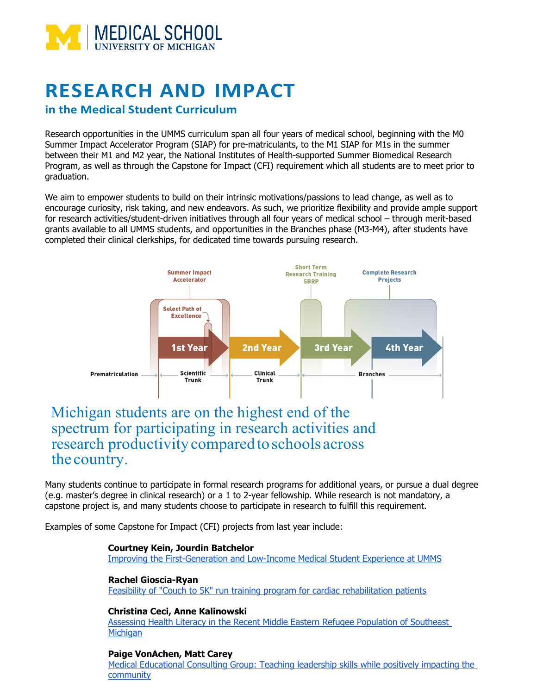

# **RESEARCH AND IMPACT**

### **in the Medical Student Curriculum**

Research opportunities in the UMMS curriculum span all four years of medical school, beginning with the M0 Summer Impact Accelerator Program (SIAP) for pre-matriculants, to the M1 SIAP for M1s in the summer between their M1 and M2 year, the National Institutes of Health-supported Summer Biomedical Research Program, as well as through the Capstone for Impact (CFI) requirement which all students are to meet prior to graduation.

We aim to empower students to build on their intrinsic motivations/passions to lead change, as well as to encourage curiosity, risk taking, and new endeavors. As such, we prioritize flexibility and provide ample support for research activities/student-driven initiatives through all four years of medical school – through merit-based grants available to all UMMS students, and opportunities in the Branches phase (M3-M4), after students have completed their clinical clerkships, for dedicated time towards pursuing research.



## Michigan students are on the highest end of the spectrum for participating in research activities and research productivity compared to schools across the country.

Many students continue to participate in formal research programs for additional years, or pursue a dual degree (e.g. master's degree in clinical research) or a 1 to 2-year fellowship. While research is not mandatory, a capstone project is, and many students choose to participate in research to fulfill this requirement.

Examples of some Capstone for Impact (CFI) projects from last year include:

#### **Courtney Kein, Jourdin Batchelor**

Improving the First-Generation and Low-Income Medical Student Experience at UMMS

#### **Rachel Gioscia-Ryan**

Feasibility of "Couch to 5K" run training program for cardiac rehabilitation patients

#### **Christina Ceci, Anne Kalinowski**

Assessing Health Literacy in the Recent Middle Eastern Refugee Population of Southeast **Michigan** 

#### **Paige VonAchen, Matt Carey**

Medical Educational Consulting Group: Teaching leadership skills while positively impacting the community